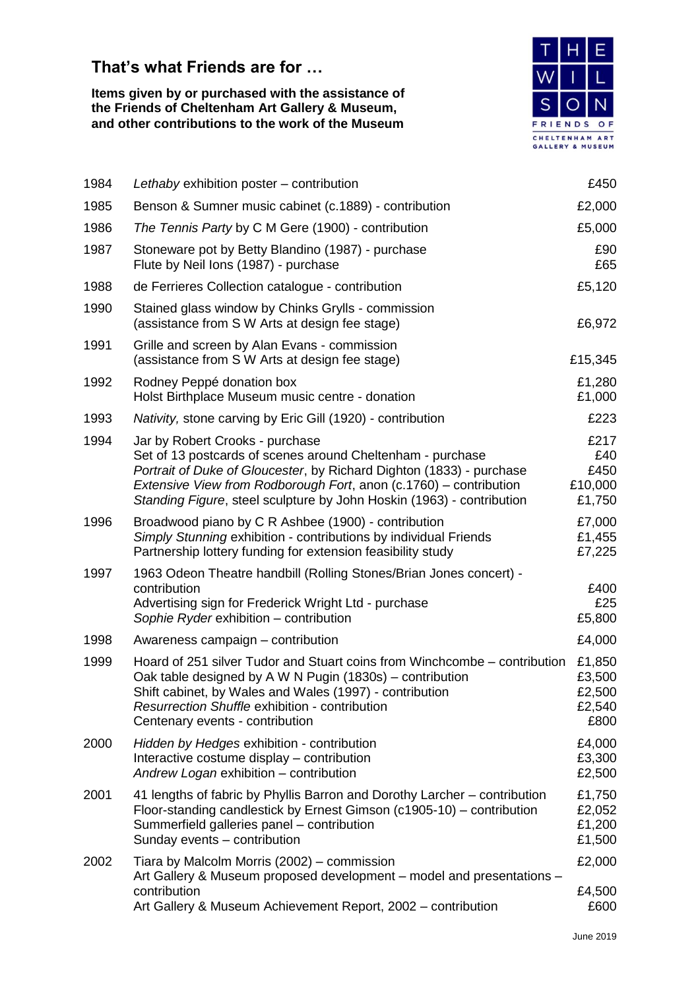## **That's what Friends are for …**

**Items given by or purchased with the assistance of the Friends of Cheltenham Art Gallery & Museum, and other contributions to the work of the Museum**



| 1984 | Lethaby exhibition poster - contribution                                                                                                                                                                                                                                                                            | £450                                         |
|------|---------------------------------------------------------------------------------------------------------------------------------------------------------------------------------------------------------------------------------------------------------------------------------------------------------------------|----------------------------------------------|
| 1985 | Benson & Sumner music cabinet (c.1889) - contribution                                                                                                                                                                                                                                                               | £2,000                                       |
| 1986 | The Tennis Party by C M Gere (1900) - contribution                                                                                                                                                                                                                                                                  | £5,000                                       |
| 1987 | Stoneware pot by Betty Blandino (1987) - purchase<br>Flute by Neil Ions (1987) - purchase                                                                                                                                                                                                                           | £90<br>£65                                   |
| 1988 | de Ferrieres Collection catalogue - contribution                                                                                                                                                                                                                                                                    | £5,120                                       |
| 1990 | Stained glass window by Chinks Grylls - commission<br>(assistance from S W Arts at design fee stage)                                                                                                                                                                                                                | £6,972                                       |
| 1991 | Grille and screen by Alan Evans - commission<br>(assistance from S W Arts at design fee stage)                                                                                                                                                                                                                      | £15,345                                      |
| 1992 | Rodney Peppé donation box<br>Holst Birthplace Museum music centre - donation                                                                                                                                                                                                                                        | £1,280<br>£1,000                             |
| 1993 | Nativity, stone carving by Eric Gill (1920) - contribution                                                                                                                                                                                                                                                          | £223                                         |
| 1994 | Jar by Robert Crooks - purchase<br>Set of 13 postcards of scenes around Cheltenham - purchase<br>Portrait of Duke of Gloucester, by Richard Dighton (1833) - purchase<br>Extensive View from Rodborough Fort, anon (c.1760) – contribution<br>Standing Figure, steel sculpture by John Hoskin (1963) - contribution | £217<br>£40<br>£450<br>£10,000<br>£1,750     |
| 1996 | Broadwood piano by C R Ashbee (1900) - contribution<br>Simply Stunning exhibition - contributions by individual Friends<br>Partnership lottery funding for extension feasibility study                                                                                                                              | £7,000<br>£1,455<br>£7,225                   |
| 1997 | 1963 Odeon Theatre handbill (Rolling Stones/Brian Jones concert) -<br>contribution<br>Advertising sign for Frederick Wright Ltd - purchase<br>Sophie Ryder exhibition - contribution                                                                                                                                | £400<br>£25<br>£5,800                        |
| 1998 | Awareness campaign - contribution                                                                                                                                                                                                                                                                                   | £4,000                                       |
| 1999 | Hoard of 251 silver Tudor and Stuart coins from Winchcombe – contribution<br>Oak table designed by A W N Pugin (1830s) – contribution<br>Shift cabinet, by Wales and Wales (1997) - contribution<br><b>Resurrection Shuffle exhibition - contribution</b><br>Centenary events - contribution                        | £1,850<br>£3,500<br>£2,500<br>£2,540<br>£800 |
| 2000 | Hidden by Hedges exhibition - contribution<br>Interactive costume display – contribution<br>Andrew Logan exhibition - contribution                                                                                                                                                                                  | £4,000<br>£3,300<br>£2,500                   |
| 2001 | 41 lengths of fabric by Phyllis Barron and Dorothy Larcher – contribution<br>Floor-standing candlestick by Ernest Gimson (c1905-10) – contribution<br>Summerfield galleries panel - contribution<br>Sunday events - contribution                                                                                    | £1,750<br>£2,052<br>£1,200<br>£1,500         |
| 2002 | Tiara by Malcolm Morris (2002) – commission<br>Art Gallery & Museum proposed development – model and presentations –<br>contribution<br>Art Gallery & Museum Achievement Report, 2002 - contribution                                                                                                                | £2,000<br>£4,500<br>£600                     |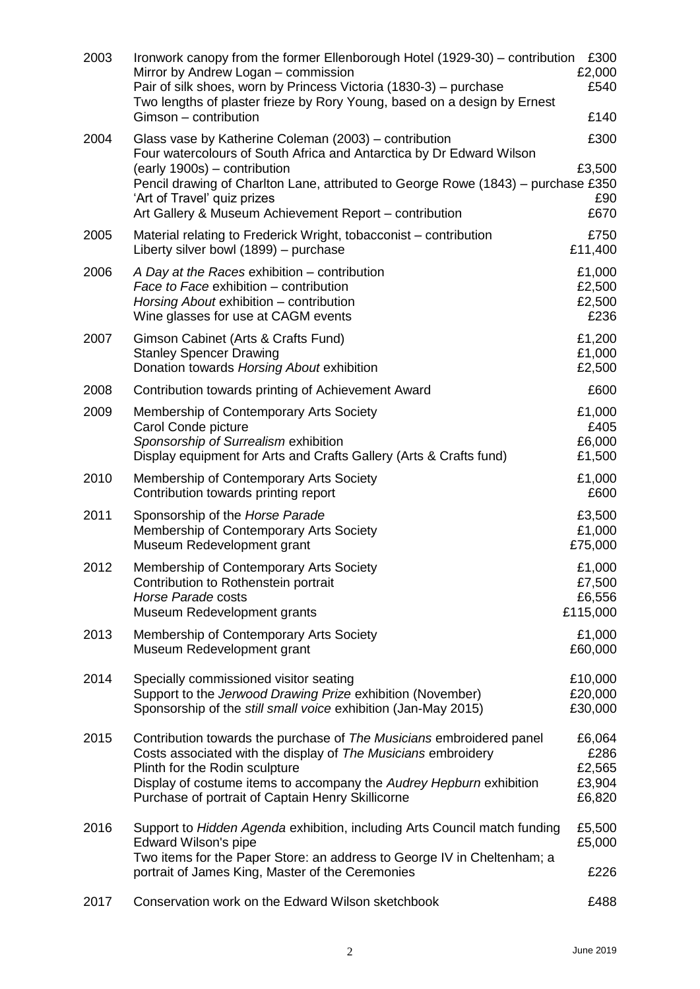| 2003 | Ironwork canopy from the former Ellenborough Hotel (1929-30) – contribution<br>Mirror by Andrew Logan - commission<br>Pair of silk shoes, worn by Princess Victoria (1830-3) – purchase<br>Two lengths of plaster frieze by Rory Young, based on a design by Ernest<br>Gimson - contribution                                                | £300<br>£2,000<br>£540<br>£140               |
|------|---------------------------------------------------------------------------------------------------------------------------------------------------------------------------------------------------------------------------------------------------------------------------------------------------------------------------------------------|----------------------------------------------|
| 2004 | Glass vase by Katherine Coleman (2003) – contribution<br>Four watercolours of South Africa and Antarctica by Dr Edward Wilson<br>(early 1900s) – contribution<br>Pencil drawing of Charlton Lane, attributed to George Rowe (1843) – purchase £350<br>'Art of Travel' quiz prizes<br>Art Gallery & Museum Achievement Report - contribution | £300<br>£3,500<br>£90<br>£670                |
| 2005 | Material relating to Frederick Wright, tobacconist – contribution<br>Liberty silver bowl (1899) - purchase                                                                                                                                                                                                                                  | £750<br>£11,400                              |
| 2006 | A Day at the Races exhibition – contribution<br>Face to Face exhibition – contribution<br>Horsing About exhibition - contribution<br>Wine glasses for use at CAGM events                                                                                                                                                                    | £1,000<br>£2,500<br>£2,500<br>£236           |
| 2007 | Gimson Cabinet (Arts & Crafts Fund)<br><b>Stanley Spencer Drawing</b><br>Donation towards Horsing About exhibition                                                                                                                                                                                                                          | £1,200<br>£1,000<br>£2,500                   |
| 2008 | Contribution towards printing of Achievement Award                                                                                                                                                                                                                                                                                          | £600                                         |
| 2009 | Membership of Contemporary Arts Society<br>Carol Conde picture<br>Sponsorship of Surrealism exhibition<br>Display equipment for Arts and Crafts Gallery (Arts & Crafts fund)                                                                                                                                                                | £1,000<br>£405<br>£6,000<br>£1,500           |
| 2010 | Membership of Contemporary Arts Society<br>Contribution towards printing report                                                                                                                                                                                                                                                             | £1,000<br>£600                               |
| 2011 | Sponsorship of the Horse Parade<br>Membership of Contemporary Arts Society<br>Museum Redevelopment grant                                                                                                                                                                                                                                    | £3,500<br>£1,000<br>£75,000                  |
| 2012 | Membership of Contemporary Arts Society<br>Contribution to Rothenstein portrait<br>Horse Parade costs<br>Museum Redevelopment grants                                                                                                                                                                                                        | £1,000<br>£7,500<br>£6,556<br>£115,000       |
| 2013 | Membership of Contemporary Arts Society<br>Museum Redevelopment grant                                                                                                                                                                                                                                                                       | £1,000<br>£60,000                            |
| 2014 | Specially commissioned visitor seating<br>Support to the Jerwood Drawing Prize exhibition (November)<br>Sponsorship of the still small voice exhibition (Jan-May 2015)                                                                                                                                                                      | £10,000<br>£20,000<br>£30,000                |
| 2015 | Contribution towards the purchase of The Musicians embroidered panel<br>Costs associated with the display of The Musicians embroidery<br>Plinth for the Rodin sculpture<br>Display of costume items to accompany the Audrey Hepburn exhibition<br>Purchase of portrait of Captain Henry Skillicorne                                         | £6,064<br>£286<br>£2,565<br>£3,904<br>£6,820 |
| 2016 | Support to Hidden Agenda exhibition, including Arts Council match funding<br>Edward Wilson's pipe<br>Two items for the Paper Store: an address to George IV in Cheltenham; a                                                                                                                                                                | £5,500<br>£5,000                             |
|      | portrait of James King, Master of the Ceremonies                                                                                                                                                                                                                                                                                            | £226                                         |
| 2017 | Conservation work on the Edward Wilson sketchbook                                                                                                                                                                                                                                                                                           | £488                                         |